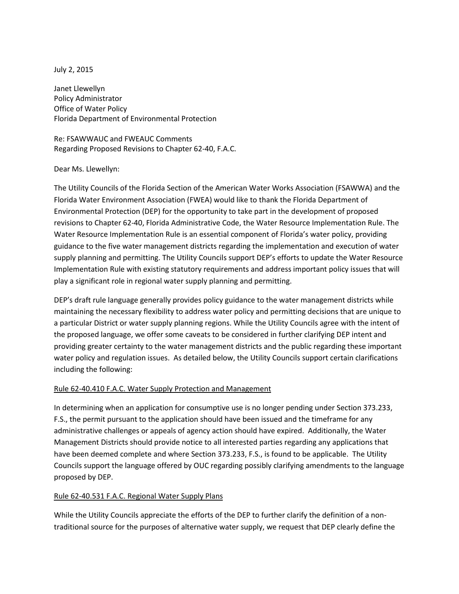## July 2, 2015

Janet Llewellyn Policy Administrator Office of Water Policy Florida Department of Environmental Protection

Re: FSAWWAUC and FWEAUC Comments Regarding Proposed Revisions to Chapter 62-40, F.A.C.

## Dear Ms. Llewellyn:

The Utility Councils of the Florida Section of the American Water Works Association (FSAWWA) and the Florida Water Environment Association (FWEA) would like to thank the Florida Department of Environmental Protection (DEP) for the opportunity to take part in the development of proposed revisions to Chapter 62-40, Florida Administrative Code, the Water Resource Implementation Rule. The Water Resource Implementation Rule is an essential component of Florida's water policy, providing guidance to the five water management districts regarding the implementation and execution of water supply planning and permitting. The Utility Councils support DEP's efforts to update the Water Resource Implementation Rule with existing statutory requirements and address important policy issues that will play a significant role in regional water supply planning and permitting.

DEP's draft rule language generally provides policy guidance to the water management districts while maintaining the necessary flexibility to address water policy and permitting decisions that are unique to a particular District or water supply planning regions. While the Utility Councils agree with the intent of the proposed language, we offer some caveats to be considered in further clarifying DEP intent and providing greater certainty to the water management districts and the public regarding these important water policy and regulation issues. As detailed below, the Utility Councils support certain clarifications including the following:

## Rule 62-40.410 F.A.C. Water Supply Protection and Management

In determining when an application for consumptive use is no longer pending under Section 373.233, F.S., the permit pursuant to the application should have been issued and the timeframe for any administrative challenges or appeals of agency action should have expired. Additionally, the Water Management Districts should provide notice to all interested parties regarding any applications that have been deemed complete and where Section 373.233, F.S., is found to be applicable. The Utility Councils support the language offered by OUC regarding possibly clarifying amendments to the language proposed by DEP.

## Rule 62-40.531 F.A.C. Regional Water Supply Plans

While the Utility Councils appreciate the efforts of the DEP to further clarify the definition of a nontraditional source for the purposes of alternative water supply, we request that DEP clearly define the